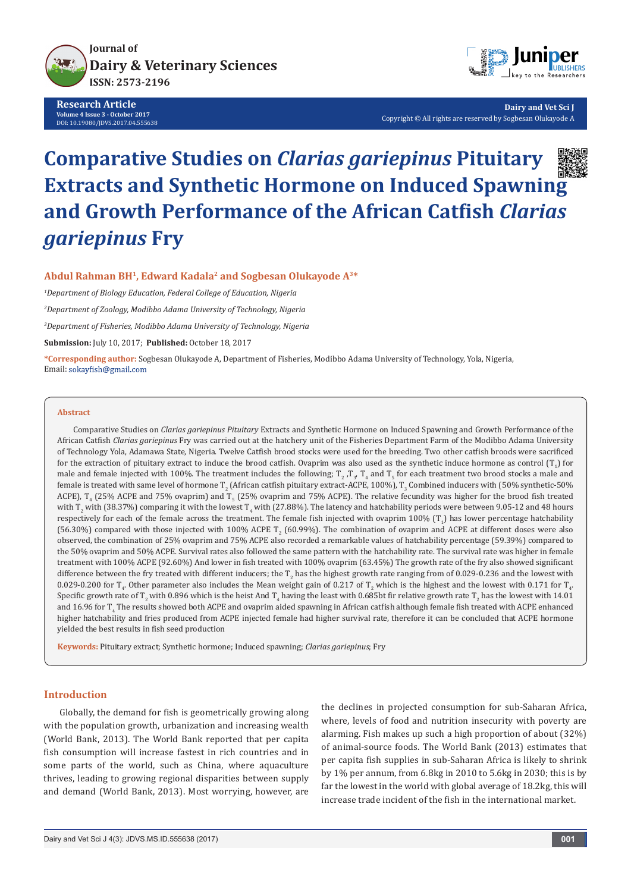

**Research Article Volume 4 Issue 3 - October 2017** DOI: [10.19080/JDVS.2017.04.555638](http://dx.doi.org/10.19080/JDVS.2017.04.555638)



**Dairy and Vet Sci J** Copyright © All rights are reserved by Sogbesan Olukayode A

# **Comparative Studies on** *Clarias gariepinus* **Pituitary Extracts and Synthetic Hormone on Induced Spawning and Growth Performance of the African Catfish** *Clarias gariepinus* **Fry**

**Abdul Rahman BH1, Edward Kadala2 and Sogbesan Olukayode A3\***

*1 Department of Biology Education, Federal College of Education, Nigeria 2 Department of Zoology, Modibbo Adama University of Technology, Nigeria*

*3 Department of Fisheries, Modibbo Adama University of Technology, Nigeria*

**Submission:** July 10, 2017; **Published:** October 18, 2017

**\*Corresponding author:** Sogbesan Olukayode A, Department of Fisheries, Modibbo Adama University of Technology, Yola, Nigeria, Email: sokayfish@gmail.com

#### **Abstract**

Comparative Studies on *Clarias gariepinus Pituitary* Extracts and Synthetic Hormone on Induced Spawning and Growth Performance of the African Catfish *Clarias gariepinus* Fry was carried out at the hatchery unit of the Fisheries Department Farm of the Modibbo Adama University of Technology Yola, Adamawa State, Nigeria. Twelve Catfish brood stocks were used for the breeding. Two other catfish broods were sacrificed for the extraction of pituitary extract to induce the brood cathsh. Ovaprim was also used as the synthetic induce hormone as control  $(\Gamma_{1})$  for male and female injected with 100%. The treatment includes the following;  $T_2$  ,  $T_3$ ,  $T_4$  and  $T_5$  for each treatment two brood stocks a male and female is treated with same level of hormone T<sub>2</sub> (African catfish pituitary extract-ACPE, 100%), T<sub>3</sub> Combined inducers with (50% synthetic-50% ACPE),  $T_4$  (25% ACPE and 75% ovaprim) and  $T_5$  (25% ovaprim and 75% ACPE). The relative fecundity was higher for the brood fish treated with T<sub>2</sub> with (38.37%) comparing it with the lowest T<sub>4</sub> with (27.88%). The latency and hatchability periods were between 9.05-12 and 48 hours respectively for each of the female across the treatment. The female fish injected with ovaprim  $100\%$  (T<sub>1</sub>) has lower percentage hatchability (56.30%) compared with those injected with  $100\%$  ACPE T<sub>2</sub> (60.99%). The combination of ovaprim and ACPE at different doses were also observed, the combination of 25% ovaprim and 75% ACPE also recorded a remarkable values of hatchability percentage (59.39%) compared to the 50% ovaprim and 50% ACPE. Survival rates also followed the same pattern with the hatchability rate. The survival rate was higher in female treatment with 100% ACPE (92.60%) And lower in fish treated with 100% ovaprim (63.45%) The growth rate of the fry also showed significant difference between the fry treated with different inducers; the T<sub>2</sub> has the highest growth rate ranging from of 0.029-0.236 and the lowest with 0.029-0.200 for  $T_{4}$ . Other parameter also includes the Mean weight gain of 0.217 of  $T_{2}$  which is the highest and the lowest with 0.171 for  $T_{4}$ . Specific growth rate of T<sub>2</sub> with 0.896 which is the heist And T<sub>4</sub> having the least with 0.685bt fir relative growth rate T<sub>2</sub> has the lowest with 14.01 and 16.96 for T<sub>4</sub> The results showed both ACPE and ovaprim aided spawning in African cattish although female fish treated with ACPE enhanced higher hatchability and fries produced from ACPE injected female had higher survival rate, therefore it can be concluded that ACPE hormone yielded the best results in fish seed production

**Keywords:** Pituitary extract; Synthetic hormone; Induced spawning; *Clarias gariepinus*; Fry

## **Introduction**

Globally, the demand for fish is geometrically growing along with the population growth, urbanization and increasing wealth (World Bank, 2013). The World Bank reported that per capita fish consumption will increase fastest in rich countries and in some parts of the world, such as China, where aquaculture thrives, leading to growing regional disparities between supply and demand (World Bank, 2013). Most worrying, however, are

the declines in projected consumption for sub-Saharan Africa, where, levels of food and nutrition insecurity with poverty are alarming. Fish makes up such a high proportion of about (32%) of animal-source foods. The World Bank (2013) estimates that per capita fish supplies in sub-Saharan Africa is likely to shrink by 1% per annum, from 6.8kg in 2010 to 5.6kg in 2030; this is by far the lowest in the world with global average of 18.2kg, this will increase trade incident of the fish in the international market.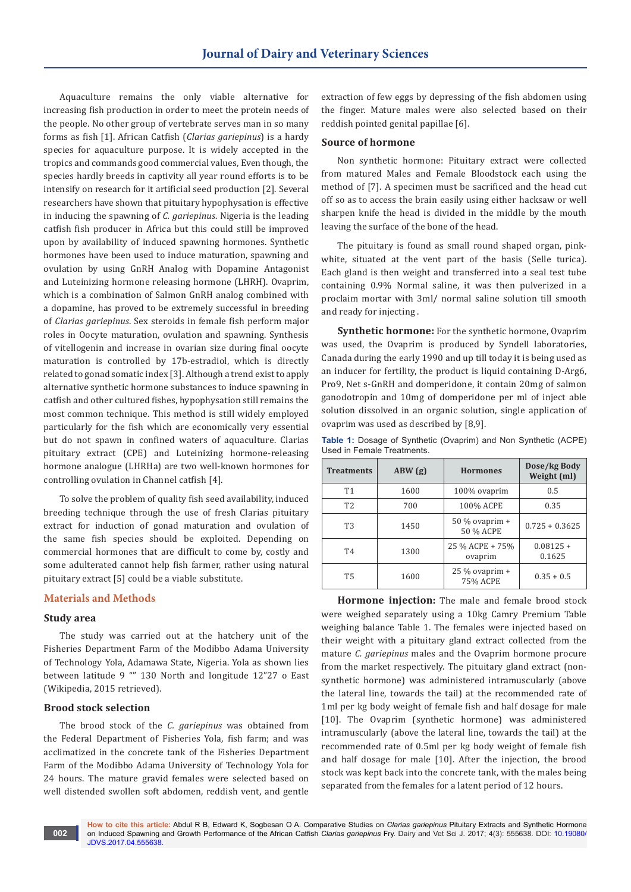Aquaculture remains the only viable alternative for increasing fish production in order to meet the protein needs of the people. No other group of vertebrate serves man in so many forms as fish [1]. African Catfish (*Clarias gariepinus*) is a hardy species for aquaculture purpose. It is widely accepted in the tropics and commands good commercial values, Even though, the species hardly breeds in captivity all year round efforts is to be intensify on research for it artificial seed production [2]. Several researchers have shown that pituitary hypophysation is effective in inducing the spawning of *C. gariepinus*. Nigeria is the leading catfish fish producer in Africa but this could still be improved upon by availability of induced spawning hormones. Synthetic hormones have been used to induce maturation, spawning and ovulation by using GnRH Analog with Dopamine Antagonist and Luteinizing hormone releasing hormone (LHRH). Ovaprim, which is a combination of Salmon GnRH analog combined with a dopamine, has proved to be extremely successful in breeding of *Clarias gariepinus*. Sex steroids in female fish perform major roles in Oocyte maturation, ovulation and spawning. Synthesis of vitellogenin and increase in ovarian size during final oocyte maturation is controlled by 17b-estradiol, which is directly related to gonad somatic index [3]. Although a trend exist to apply alternative synthetic hormone substances to induce spawning in catfish and other cultured fishes, hypophysation still remains the most common technique. This method is still widely employed particularly for the fish which are economically very essential but do not spawn in confined waters of aquaculture. Clarias pituitary extract (CPE) and Luteinizing hormone-releasing hormone analogue (LHRHa) are two well-known hormones for controlling ovulation in Channel catfish [4].

To solve the problem of quality fish seed availability, induced breeding technique through the use of fresh Clarias pituitary extract for induction of gonad maturation and ovulation of the same fish species should be exploited. Depending on commercial hormones that are difficult to come by, costly and some adulterated cannot help fish farmer, rather using natural pituitary extract [5] could be a viable substitute.

# **Materials and Methods**

#### **Study area**

The study was carried out at the hatchery unit of the Fisheries Department Farm of the Modibbo Adama University of Technology Yola, Adamawa State, Nigeria. Yola as shown lies between latitude 9 "" 130 North and longitude 12"27 o East (Wikipedia, 2015 retrieved).

#### **Brood stock selection**

The brood stock of the *C. gariepinus* was obtained from the Federal Department of Fisheries Yola, fish farm; and was acclimatized in the concrete tank of the Fisheries Department Farm of the Modibbo Adama University of Technology Yola for 24 hours. The mature gravid females were selected based on well distended swollen soft abdomen, reddish vent, and gentle

extraction of few eggs by depressing of the fish abdomen using the finger. Mature males were also selected based on their reddish pointed genital papillae [6].

#### **Source of hormone**

Non synthetic hormone: Pituitary extract were collected from matured Males and Female Bloodstock each using the method of [7]. A specimen must be sacrificed and the head cut off so as to access the brain easily using either hacksaw or well sharpen knife the head is divided in the middle by the mouth leaving the surface of the bone of the head.

The pituitary is found as small round shaped organ, pinkwhite, situated at the vent part of the basis (Selle turica). Each gland is then weight and transferred into a seal test tube containing 0.9% Normal saline, it was then pulverized in a proclaim mortar with 3ml/ normal saline solution till smooth and ready for injecting .

**Synthetic hormone:** For the synthetic hormone, Ovaprim was used, the Ovaprim is produced by Syndell laboratories, Canada during the early 1990 and up till today it is being used as an inducer for fertility, the product is liquid containing D-Arg6, Pro9, Net s-GnRH and domperidone, it contain 20mg of salmon ganodotropin and 10mg of domperidone per ml of inject able solution dissolved in an organic solution, single application of ovaprim was used as described by [8,9].

| <b>Treatments</b> | ABW(g) | <b>Hormones</b>               | Dose/kg Body<br>Weight (ml) |  |
|-------------------|--------|-------------------------------|-----------------------------|--|
| <b>T1</b>         | 1600   | 100% ovaprim                  | 0.5                         |  |
| T <sub>2</sub>    | 700    | 100% ACPE                     | 0.35                        |  |
| T <sub>3</sub>    | 1450   | $50\%$ ovaprim +<br>50 % ACPE | $0.725 + 0.3625$            |  |
| <b>T4</b>         | 1300   | 25 % ACPE + 75%<br>ovaprim    | $0.08125 +$<br>0.1625       |  |
| <b>T5</b>         | 1600   | $25\%$ ovaprim +<br>75% ACPE  | $0.35 + 0.5$                |  |

**Table 1:** Dosage of Synthetic (Ovaprim) and Non Synthetic (ACPE) Used in Female Treatments.

**Hormone injection:** The male and female brood stock were weighed separately using a 10kg Camry Premium Table weighing balance Table 1. The females were injected based on their weight with a pituitary gland extract collected from the mature *C. gariepinus* males and the Ovaprim hormone procure from the market respectively. The pituitary gland extract (nonsynthetic hormone) was administered intramuscularly (above the lateral line, towards the tail) at the recommended rate of 1ml per kg body weight of female fish and half dosage for male [10]. The Ovaprim (synthetic hormone) was administered intramuscularly (above the lateral line, towards the tail) at the recommended rate of 0.5ml per kg body weight of female fish and half dosage for male [10]. After the injection, the brood stock was kept back into the concrete tank, with the males being separated from the females for a latent period of 12 hours.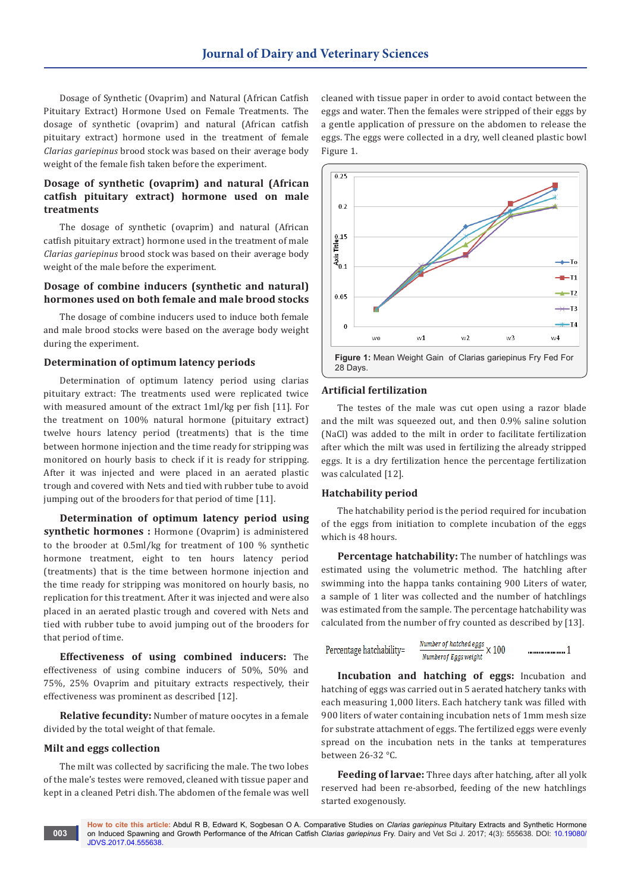Dosage of Synthetic (Ovaprim) and Natural (African Catfish Pituitary Extract) Hormone Used on Female Treatments. The dosage of synthetic (ovaprim) and natural (African catfish pituitary extract) hormone used in the treatment of female *Clarias gariepinus* brood stock was based on their average body weight of the female fish taken before the experiment.

# **Dosage of synthetic (ovaprim) and natural (African catfish pituitary extract) hormone used on male treatments**

The dosage of synthetic (ovaprim) and natural (African catfish pituitary extract) hormone used in the treatment of male *Clarias gariepinus* brood stock was based on their average body weight of the male before the experiment.

# **Dosage of combine inducers (synthetic and natural) hormones used on both female and male brood stocks**

The dosage of combine inducers used to induce both female and male brood stocks were based on the average body weight during the experiment.

#### **Determination of optimum latency periods**

Determination of optimum latency period using clarias pituitary extract: The treatments used were replicated twice with measured amount of the extract 1ml/kg per fish [11]. For the treatment on 100% natural hormone (pituitary extract) twelve hours latency period (treatments) that is the time between hormone injection and the time ready for stripping was monitored on hourly basis to check if it is ready for stripping. After it was injected and were placed in an aerated plastic trough and covered with Nets and tied with rubber tube to avoid jumping out of the brooders for that period of time [11].

**Determination of optimum latency period using synthetic hormones :** Hormone (Ovaprim) is administered to the brooder at 0.5ml/kg for treatment of 100 % synthetic hormone treatment, eight to ten hours latency period (treatments) that is the time between hormone injection and the time ready for stripping was monitored on hourly basis, no replication for this treatment. After it was injected and were also placed in an aerated plastic trough and covered with Nets and tied with rubber tube to avoid jumping out of the brooders for that period of time.

**Effectiveness of using combined inducers:** The effectiveness of using combine inducers of 50%, 50% and 75%, 25% Ovaprim and pituitary extracts respectively, their effectiveness was prominent as described [12].

**Relative fecundity:** Number of mature oocytes in a female divided by the total weight of that female.

## **Milt and eggs collection**

The milt was collected by sacrificing the male. The two lobes of the male's testes were removed, cleaned with tissue paper and kept in a cleaned Petri dish. The abdomen of the female was well

cleaned with tissue paper in order to avoid contact between the eggs and water. Then the females were stripped of their eggs by a gentle application of pressure on the abdomen to release the eggs. The eggs were collected in a dry, well cleaned plastic bowl Figure 1.



# **Artificial fertilization**

The testes of the male was cut open using a razor blade and the milt was squeezed out, and then 0.9% saline solution (NaCl) was added to the milt in order to facilitate fertilization after which the milt was used in fertilizing the already stripped eggs. It is a dry fertilization hence the percentage fertilization was calculated [12].

#### **Hatchability period**

The hatchability period is the period required for incubation of the eggs from initiation to complete incubation of the eggs which is 48 hours.

**Percentage hatchability:** The number of hatchlings was estimated using the volumetric method. The hatchling after swimming into the happa tanks containing 900 Liters of water, a sample of 1 liter was collected and the number of hatchlings was estimated from the sample. The percentage hatchability was calculated from the number of fry counted as described by [13].

```
\frac{Number of \textit{hatched eggs}}{Number of <b>Excesswidth}</b} \times 100Percentage hatchability=
                                                                             Numberof Eaas weight
```
**Incubation and hatching of eggs:** Incubation and hatching of eggs was carried out in 5 aerated hatchery tanks with each measuring 1,000 liters. Each hatchery tank was filled with 900 liters of water containing incubation nets of 1mm mesh size for substrate attachment of eggs. The fertilized eggs were evenly spread on the incubation nets in the tanks at temperatures between 26-32 °C.

**Feeding of larvae:** Three days after hatching, after all yolk reserved had been re-absorbed, feeding of the new hatchlings started exogenously.

**How to cite this article:** Abdul R B, Edward K, Sogbesan O A. Comparative Studies on *Clarias gariepinus* Pituitary Extracts and Synthetic Hormone on Induced Spawning and Growth Performance of the African Catfish *Clarias gariepinus* Fry. Dairy and Vet Sci J. 2017; 4(3): 555638. DOI: [10.19080/](http://dx.doi.org/10.19080/JDVS.2017.04.555638) [JDVS.2017.04.555638](http://dx.doi.org/10.19080/JDVS.2017.04.555638). **003**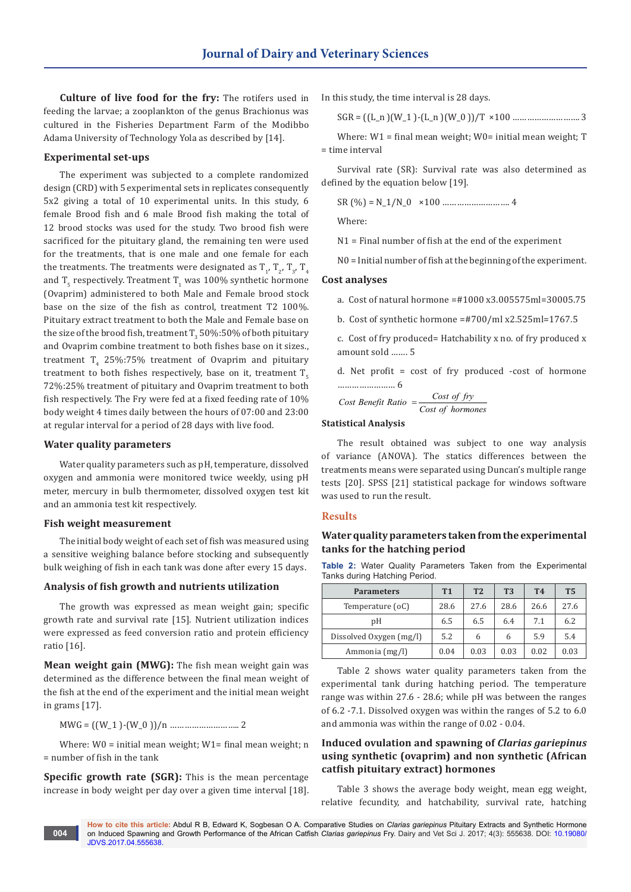**Culture of live food for the fry:** The rotifers used in feeding the larvae; a zooplankton of the genus Brachionus was cultured in the Fisheries Department Farm of the Modibbo Adama University of Technology Yola as described by [14].

#### **Experimental set-ups**

The experiment was subjected to a complete randomized design (CRD) with 5 experimental sets in replicates consequently 5x2 giving a total of 10 experimental units. In this study, 6 female Brood fish and 6 male Brood fish making the total of 12 brood stocks was used for the study. Two brood fish were sacrificed for the pituitary gland, the remaining ten were used for the treatments, that is one male and one female for each the treatments. The treatments were designated as  $T_{1}$ ,  $T_{2}$ ,  $T_{3}$ ,  $T_{4}$ and T<sub>5</sub> respectively. Treatment T<sub>1</sub> was 100% synthetic hormone (Ovaprim) administered to both Male and Female brood stock base on the size of the fish as control, treatment T2 100%. Pituitary extract treatment to both the Male and Female base on the size of the brood fish, treatment T $_3$  50%:50% of both pituitary and Ovaprim combine treatment to both fishes base on it sizes., treatment  $T_4$  25%:75% treatment of Ovaprim and pituitary treatment to both fishes respectively, base on it, treatment  $T<sub>s</sub>$ 72%:25% treatment of pituitary and Ovaprim treatment to both fish respectively. The Fry were fed at a fixed feeding rate of 10% body weight 4 times daily between the hours of 07:00 and 23:00 at regular interval for a period of 28 days with live food.

#### **Water quality parameters**

Water quality parameters such as pH, temperature, dissolved oxygen and ammonia were monitored twice weekly, using pH meter, mercury in bulb thermometer, dissolved oxygen test kit and an ammonia test kit respectively.

#### **Fish weight measurement**

The initial body weight of each set of fish was measured using a sensitive weighing balance before stocking and subsequently bulk weighing of fish in each tank was done after every 15 days.

# **Analysis of fish growth and nutrients utilization**

The growth was expressed as mean weight gain; specific growth rate and survival rate [15]. Nutrient utilization indices were expressed as feed conversion ratio and protein efficiency ratio [16].

**Mean weight gain (MWG):** The fish mean weight gain was determined as the difference between the final mean weight of the fish at the end of the experiment and the initial mean weight in grams [17].

MWG = ((W\_1 )-(W\_0 ))/n ……………………….. 2

Where:  $W0 =$  initial mean weight;  $W1 =$  final mean weight; n = number of fish in the tank

**Specific growth rate (SGR):** This is the mean percentage increase in body weight per day over a given time interval [18]. In this study, the time interval is 28 days.

SGR = ((L\_n )(W\_1 )-(L\_n )(W\_0 ))/T ×100 ………………………. 3

Where:  $W1 =$  final mean weight;  $W0 =$  initial mean weight; T = time interval

Survival rate (SR): Survival rate was also determined as defined by the equation below [19].

SR (%) = N\_1/N\_0 ×100 ………………………. 4

Where:

N1 = Final number of fish at the end of the experiment

N0 = Initial number of fish at the beginning of the experiment.

#### **Cost analyses**

a. Cost of natural hormone =#1000 x3.005575ml=30005.75

b. Cost of synthetic hormone =#700/ml x2.525ml=1767.5

c. Cost of fry produced= Hatchability x no. of fry produced x amount sold ……. 5

d. Net profit = cost of fry produced -cost of hormone …………………… 6

Cost benefit Ratio = 
$$
\frac{Cost\ of\ fry}{Cost\ of\ hormones}
$$

# **Statistical Analysis**

The result obtained was subject to one way analysis of variance (ANOVA). The statics differences between the treatments means were separated using Duncan's multiple range tests [20]. SPSS [21] statistical package for windows software was used to run the result.

#### **Results**

# **Water quality parameters taken from the experimental tanks for the hatching period**

**Table 2:** Water Quality Parameters Taken from the Experimental Tanks during Hatching Period.

| <b>Parameters</b>       | T <sub>1</sub> | T <sub>2</sub> | <b>T3</b> | <b>T4</b> | <b>T5</b> |
|-------------------------|----------------|----------------|-----------|-----------|-----------|
| Temperature (oC)        | 28.6           | 27.6           | 28.6      | 26.6      | 27.6      |
| pΗ                      | 6.5            | 6.5            | 6.4       | 7.1       | 6.2       |
| Dissolved Oxygen (mg/l) | 5.2            | 6              | 6         | 5.9       | 5.4       |
| Ammonia (mg/l)          | 0.04           | 0.03           | 0.03      | 0.02      | 0.03      |

Table 2 shows water quality parameters taken from the experimental tank during hatching period. The temperature range was within 27.6 - 28.6; while pH was between the ranges of 6.2 -7.1. Dissolved oxygen was within the ranges of 5.2 to 6.0 and ammonia was within the range of 0.02 - 0.04.

# **Induced ovulation and spawning of** *Clarias gariepinus* **using synthetic (ovaprim) and non synthetic (African catfish pituitary extract) hormones**

Table 3 shows the average body weight, mean egg weight, relative fecundity, and hatchability, survival rate, hatching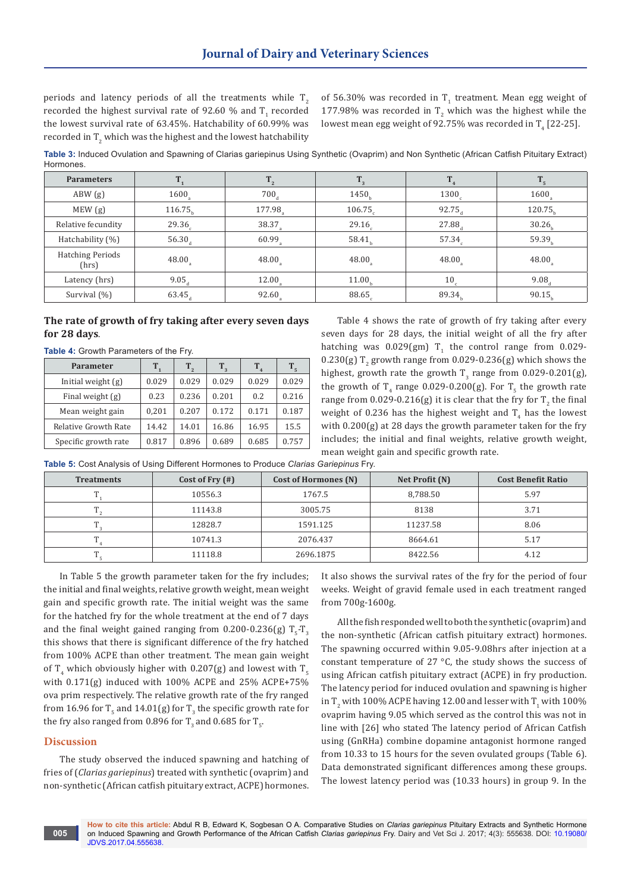periods and latency periods of all the treatments while  $T<sub>2</sub>$ recorded the highest survival rate of 92.60  $\%$  and T<sub>1</sub> recorded the lowest survival rate of 63.45%. Hatchability of 60.99% was recorded in  $\Gamma_{2}$  which was the highest and the lowest hatchability of 56.30% was recorded in  $T_1$  treatment. Mean egg weight of  $177.98\%$  was recorded in T<sub>2</sub> which was the highest while the lowest mean egg weight of 92.75% was recorded in  $\rm T^{}_4$  [22-25].

**Table 3:** Induced Ovulation and Spawning of Clarias gariepinus Using Synthetic (Ovaprim) and Non Synthetic (African Catfish Pituitary Extract) **Hormones** 

| <b>Parameters</b>                |                      |                      |        |                 | T <sub>5</sub>      |
|----------------------------------|----------------------|----------------------|--------|-----------------|---------------------|
| ABW(g)                           | 1600                 | 700                  | 1450.  | 1300            | 1600                |
| MEW(g)                           | 116.75               | 177.98               | 106.75 | 92.75           | 120.75 <sub>b</sub> |
| Relative fecundity               | $29.36$ <sub>c</sub> | 38.37                | 29.16  | 27.88           | 30.26 <sub>b</sub>  |
| Hatchability (%)                 | $56.30_a$            | 60.99                | 58.41  | 57.34           | 59.39 <sub>b</sub>  |
| <b>Hatching Periods</b><br>(hrs) | $48.00$ <sub>s</sub> | 48.00                | 48.00  | 48.00           | 48.00               |
| Latency (hrs)                    | $9.05_{4}$           | $12.00$ <sub>s</sub> | 11.00  | 10 <sub>c</sub> | 9.08                |
| Survival $(\% )$                 | $63.45_{\rm d}$      | 92.60                | 88.65  | 89.34           | 90.15               |

# **The rate of growth of fry taking after every seven days for 28 days**.

| $1000 - 11000$              |         |         |         |         |                |  |
|-----------------------------|---------|---------|---------|---------|----------------|--|
| Parameter                   | $T_{1}$ | $T_{2}$ | $T_{3}$ | $T_{4}$ | T <sub>5</sub> |  |
| Initial weight $(g)$        | 0.029   | 0.029   | 0.029   | 0.029   | 0.029          |  |
| Final weight $(g)$          | 0.23    | 0.236   | 0.201   | 0.2     | 0.216          |  |
| Mean weight gain            | 0,201   | 0.207   | 0.172   | 0.171   | 0.187          |  |
| <b>Relative Growth Rate</b> | 14.42   | 14.01   | 16.86   | 16.95   | 15.5           |  |
| Specific growth rate        | 0.817   | 0.896   | 0.689   | 0.685   | 0.757          |  |

**Table 4:** Growth Parameters of the Fry.

Table 4 shows the rate of growth of fry taking after every seven days for 28 days, the initial weight of all the fry after hatching was  $0.029$ (gm) T<sub>1</sub> the control range from  $0.029$ - $0.230(g)$  T<sub>2</sub> growth range from  $0.029$ -0.236(g) which shows the highest, growth rate the growth  $T_3$  range from 0.029-0.201(g), the growth of  $T_4$  range 0.029-0.200(g). For  $T_5$  the growth rate range from  $0.029$ - $0.216(g)$  it is clear that the fry for  $T_{2}$  the final weight of 0.236 has the highest weight and  $\mathrm{T}_4$  has the lowest with 0.200(g) at 28 days the growth parameter taken for the fry includes; the initial and final weights, relative growth weight, mean weight gain and specific growth rate.

| Table 5: Cost Analysis of Using Different Hormones to Produce Clarias Gariepinus Fry. |  |  |  |
|---------------------------------------------------------------------------------------|--|--|--|
|---------------------------------------------------------------------------------------|--|--|--|

| <b>Treatments</b> | Cost of Fry $(\#)$ | Cost of Hormones (N) | Net Profit (N) | <b>Cost Benefit Ratio</b> |
|-------------------|--------------------|----------------------|----------------|---------------------------|
|                   | 10556.3            | 1767.5               | 8,788.50       | 5.97                      |
|                   | 11143.8            | 3005.75              | 8138           | 3.71                      |
|                   | 12828.7            | 1591.125             | 11237.58       | 8.06                      |
|                   | 10741.3            | 2076.437             | 8664.61        | 5.17                      |
|                   | 11118.8            | 2696.1875            | 8422.56        | 4.12                      |

In Table 5 the growth parameter taken for the fry includes; the initial and final weights, relative growth weight, mean weight gain and specific growth rate. The initial weight was the same for the hatched fry for the whole treatment at the end of 7 days and the final weight gained ranging from  $0.200$ -0.236(g) T<sub>5</sub>-T<sub>3</sub> this shows that there is significant difference of the fry hatched from 100% ACPE than other treatment. The mean gain weight of T<sub>4</sub> which obviously higher with 0.207(g) and lowest with T<sub>5</sub> with 0.171(g) induced with 100% ACPE and 25% ACPE+75% ova prim respectively. The relative growth rate of the fry ranged from 16.96 for  $T_5$  and 14.01(g) for  $T_3$  the specific growth rate for the fry also ranged from 0.896 for T<sub>3</sub> and 0.685 for T<sub>5</sub>.

#### **Discussion**

The study observed the induced spawning and hatching of fries of (*Clarias gariepinus*) treated with synthetic (ovaprim) and non-synthetic (African catfish pituitary extract, ACPE) hormones.

It also shows the survival rates of the fry for the period of four weeks. Weight of gravid female used in each treatment ranged from 700g-1600g.

All the fish responded well to both the synthetic (ovaprim) and the non-synthetic (African catfish pituitary extract) hormones. The spawning occurred within 9.05-9.08hrs after injection at a constant temperature of 27 °C, the study shows the success of using African catfish pituitary extract (ACPE) in fry production. The latency period for induced ovulation and spawning is higher in T<sub>2</sub> with 100% ACPE having 12.00 and lesser with T<sub>1</sub> with 100% ovaprim having 9.05 which served as the control this was not in line with [26] who stated The latency period of African Catfish using (GnRHa) combine dopamine antagonist hormone ranged from 10.33 to 15 hours for the seven ovulated groups (Table 6). Data demonstrated significant differences among these groups. The lowest latency period was (10.33 hours) in group 9. In the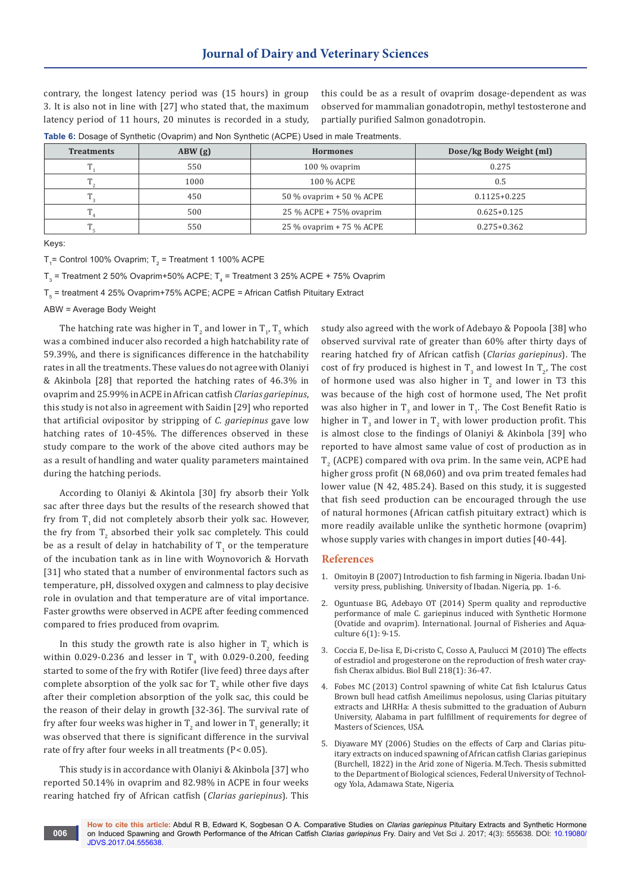contrary, the longest latency period was (15 hours) in group 3. It is also not in line with [27] who stated that, the maximum latency period of 11 hours, 20 minutes is recorded in a study,

this could be as a result of ovaprim dosage-dependent as was observed for mammalian gonadotropin, methyl testosterone and partially purified Salmon gonadotropin.

**Table 6:** Dosage of Synthetic (Ovaprim) and Non Synthetic (ACPE) Used in male Treatments.

| <b>Treatments</b> | ABW(g) | <b>Hormones</b>          | Dose/kg Body Weight (ml) |
|-------------------|--------|--------------------------|--------------------------|
| <b>TP</b>         | 550    | $100\%$ ovaprim          | 0.275                    |
| T                 | 1000   | 100 % ACPE               | 0.5                      |
| $\mathbf{T}$      | 450    | 50 % ovaprim + 50 % ACPE | $0.1125 + 0.225$         |
| $\mathbf{r}$      | 500    | 25 % ACPE + 75% ovaprim  | $0.625 + 0.125$          |
| m                 | 550    | 25 % ovaprim + 75 % ACPE | $0.275 + 0.362$          |

Keys:

 $T_{1}$ = Control 100% Ovaprim; T<sub>2</sub> = Treatment 1 100% ACPE

T $_3$  = Treatment 2 50% Ovaprim+50% ACPE; T $_4$  = Treatment 3 25% ACPE + 75% Ovaprim

 $T_{\rm s}$  = treatment 4 25% Ovaprim+75% ACPE; ACPE = African Catfish Pituitary Extract

ABW = Average Body Weight

The hatching rate was higher in  $T_2$  and lower in  $T_{1}$ ,  $T_5$  which was a combined inducer also recorded a high hatchability rate of 59.39%, and there is significances difference in the hatchability rates in all the treatments. These values do not agree with Olaniyi & Akinbola [28] that reported the hatching rates of 46.3% in ovaprim and 25.99% in ACPE in African catfish *Clarias gariepinus*, this study is not also in agreement with Saidin [29] who reported that artificial ovipositor by stripping of *C. gariepinus* gave low hatching rates of 10-45%. The differences observed in these study compare to the work of the above cited authors may be as a result of handling and water quality parameters maintained during the hatching periods.

According to Olaniyi & Akintola [30] fry absorb their Yolk sac after three days but the results of the research showed that fry from  $T<sub>1</sub>$  did not completely absorb their yolk sac. However, the fry from  $\mathrm{T}_2$  absorbed their yolk sac completely. This could be as a result of delay in hatchability of  $T_{1}$  or the temperature of the incubation tank as in line with Woynovorich & Horvath [31] who stated that a number of environmental factors such as temperature, pH, dissolved oxygen and calmness to play decisive role in ovulation and that temperature are of vital importance. Faster growths were observed in ACPE after feeding commenced compared to fries produced from ovaprim.

In this study the growth rate is also higher in  $T_{2}$  which is within  $0.029$ -0.236 and lesser in  $T_{\rm 4}$  with 0.029-0.200, feeding started to some of the fry with Rotifer (live feed) three days after complete absorption of the yolk sac for  $\mathrm{T}_2$  while other five days after their completion absorption of the yolk sac, this could be the reason of their delay in growth [32-36]. The survival rate of fry after four weeks was higher in  $\rm T^{}_2$  and lower in  $\rm T^{}_1$  generally; it was observed that there is significant difference in the survival rate of fry after four weeks in all treatments (P< 0.05).

This study is in accordance with Olaniyi & Akinbola [37] who reported 50.14% in ovaprim and 82.98% in ACPE in four weeks rearing hatched fry of African catfish (*Clarias gariepinus*). This study also agreed with the work of Adebayo & Popoola [38] who observed survival rate of greater than 60% after thirty days of rearing hatched fry of African catfish (*Clarias gariepinus*). The cost of fry produced is highest in  $T_3$  and lowest In  $T_{2}$ , The cost of hormone used was also higher in  $T<sub>2</sub>$  and lower in T3 this was because of the high cost of hormone used, The Net profit was also higher in T<sub>3</sub> and lower in T<sub>1</sub>. The Cost Benefit Ratio is higher in  $T_3$  and lower in  $T_2$  with lower production profit. This is almost close to the findings of Olaniyi & Akinbola [39] who reported to have almost same value of cost of production as in  $T_2$  (ACPE) compared with ova prim. In the same vein, ACPE had higher gross profit (N 68,060) and ova prim treated females had lower value (N 42, 485.24). Based on this study, it is suggested that fish seed production can be encouraged through the use of natural hormones (African catfish pituitary extract) which is more readily available unlike the synthetic hormone (ovaprim) whose supply varies with changes in import duties [40-44].

#### **References**

- 1. Omitoyin B (2007) Introduction to fish farming in Nigeria. Ibadan University press, publishing. University of Ibadan. Nigeria, pp. 1-6.
- 2. [Oguntuase BG, Adebayo OT \(2014\) Sperm quality and reproductive](http://www.academicjournals.org/journal/IJFA/article-full-text-pdf/F21D22742621)  [performance of male C. gariepinus induced with Synthetic Hormone](http://www.academicjournals.org/journal/IJFA/article-full-text-pdf/F21D22742621)  [\(Ovatide and ovaprim\). International. Journal of Fisheries and Aqua](http://www.academicjournals.org/journal/IJFA/article-full-text-pdf/F21D22742621)[culture 6\(1\): 9-15.](http://www.academicjournals.org/journal/IJFA/article-full-text-pdf/F21D22742621)
- 3. [Coccia E, De-lisa E, Di-cristo C, Cosso A, Paulucci M \(2010\) The effects](https://www.ncbi.nlm.nih.gov/pubmed/20203252)  [of estradiol and progesterone on the reproduction of fresh water cray](https://www.ncbi.nlm.nih.gov/pubmed/20203252)[fish Cherax albidus. Biol Bull 218\(1\): 36-47.](https://www.ncbi.nlm.nih.gov/pubmed/20203252)
- 4. Fobes MC (2013) Control spawning of white Cat fish Ictalurus Catus Brown bull head catfish Ameilimus nepolosus, using Clarias pituitary extracts and LHRHa: A thesis submitted to the graduation of Auburn University, Alabama in part fulfillment of requirements for degree of Masters of Sciences, USA.
- 5. Diyaware MY (2006) Studies on the effects of Carp and Clarias pituitary extracts on induced spawning of African catfish Clarias gariepinus (Burchell, 1822) in the Arid zone of Nigeria. M.Tech. Thesis submitted to the Department of Biological sciences, Federal University of Technology Yola, Adamawa State, Nigeria.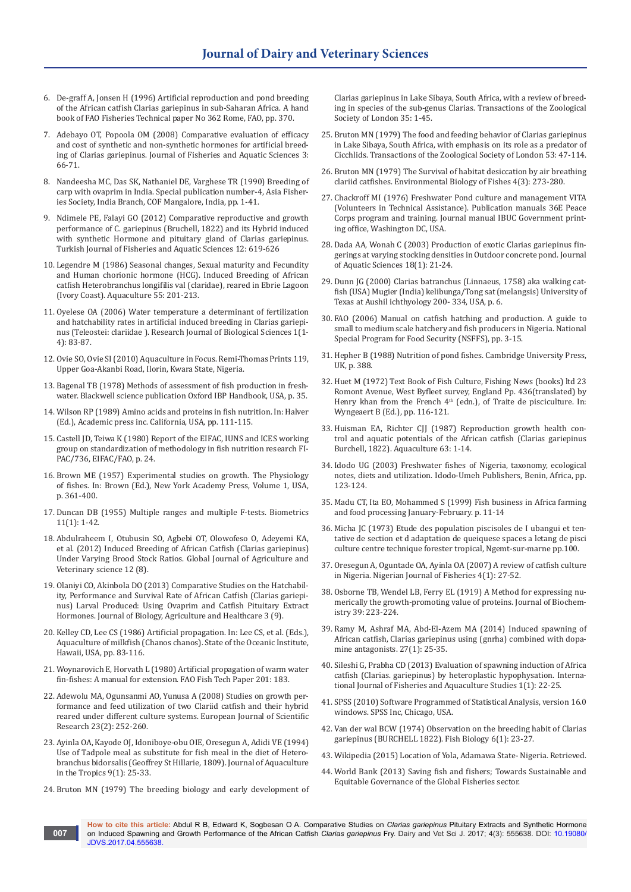- 6. [De-graff A, Jonsen H \(1996\) Artificial reproduction and pond breeding](ftp://ftp.fao.org/docrep/fao/003/w3595e/w3595e00.pdf)  [of the African catfish Clarias gariepinus in sub-Saharan Africa. A hand](ftp://ftp.fao.org/docrep/fao/003/w3595e/w3595e00.pdf)  [book of FAO Fisheries Technical paper No 362 Rome, FAO, pp. 370.](ftp://ftp.fao.org/docrep/fao/003/w3595e/w3595e00.pdf)
- 7. [Adebayo OT, Popoola OM \(2008\) Comparative evaluation of efficacy](http://scialert.net/fulltext/?doi=jfas.2008.66.71)  [and cost of synthetic and non-synthetic hormones for artificial breed](http://scialert.net/fulltext/?doi=jfas.2008.66.71)[ing of Clarias gariepinus. Journal of Fisheries and Aquatic Sciences 3:](http://scialert.net/fulltext/?doi=jfas.2008.66.71)  [66-71.](http://scialert.net/fulltext/?doi=jfas.2008.66.71)
- 8. Nandeesha MC, Das SK, Nathaniel DE, Varghese TR (1990) Breeding of carp with ovaprim in India. Special publication number-4, Asia Fisheries Society, India Branch, COF Mangalore, India, pp. 1-41.
- 9. [Ndimele PE, Falayi GO \(2012\) Comparative reproductive and growth](http://www.trjfas.org/uploads/pdf_478.pdf)  [performance of C. gariepinus \(Bruchell, 1822\) and its Hybrid induced](http://www.trjfas.org/uploads/pdf_478.pdf)  [with synthetic Hormone and pituitary gland of Clarias gariepinus.](http://www.trjfas.org/uploads/pdf_478.pdf)  [Turkish Journal of Fisheries and Aquatic Sciences 12: 619-626](http://www.trjfas.org/uploads/pdf_478.pdf)
- 10. [Legendre M \(1986\) Seasonal changes, Sexual maturity and Fecundity](http://agris.fao.org/agris-search/search.do?recordID=AV2012068448)  [and Human chorionic hormone \(HCG\). Induced Breeding of African](http://agris.fao.org/agris-search/search.do?recordID=AV2012068448)  [catfish Heterobranchus longifilis val \(claridae\), reared in Ebrie Lagoon](http://agris.fao.org/agris-search/search.do?recordID=AV2012068448)  [\(Ivory Coast\). Aquaculture 55: 201-213.](http://agris.fao.org/agris-search/search.do?recordID=AV2012068448)
- 11. [Oyelese OA \(2006\) Water temperature a determinant of fertilization](http://www.docsdrive.com/pdfs/medwelljournals/rjbsci/2006/83-87.pdf)  [and hatchability rates in artificial induced breeding in](http://www.docsdrive.com/pdfs/medwelljournals/rjbsci/2006/83-87.pdf) Clarias gariepi[nus \(Teleostei: clariidae \). Research Journal of Biological Sciences 1\(1-](http://www.docsdrive.com/pdfs/medwelljournals/rjbsci/2006/83-87.pdf) [4\): 83-87.](http://www.docsdrive.com/pdfs/medwelljournals/rjbsci/2006/83-87.pdf)
- 12. Ovie SO, Ovie SI (2010) Aquaculture in Focus. Remi-Thomas Prints 119, Upper Goa-Akanbi Road, Ilorin, Kwara State, Nigeria.
- 13. Bagenal TB (1978) Methods of assessment of fish production in freshwater. Blackwell science publication Oxford IBP Handbook, USA, p. 35.
- 14. Wilson RP (1989) Amino acids and proteins in fish nutrition. In: Halver (Ed.), Academic press inc. California, USA, pp. 111-115.
- 15. Castell JD, Teiwa K (1980) Report of the EIFAC, IUNS and ICES working group on standardization of methodology in fish nutrition research FI-PAC/736, EIFAC/FAO, p. 24.
- 16. Brown ME (1957) Experimental studies on growth. The Physiology of fishes. In: Brown (Ed.), New York Academy Press, Volume 1, USA, p. 361-400.
- 17. Duncan DB (1955) Multiple ranges and multiple F-tests. Biometrics 11(1): 1-42.
- 18. [Abdulraheem I, Otubusin SO, Agbebi OT, Olowofeso O, Adeyemi KA,](https://journalofscience.org/index.php/GJSFR/article/view/535)  [et al. \(2012\) Induced Breeding of African Catfish \(Clarias gariepinus\)](https://journalofscience.org/index.php/GJSFR/article/view/535)  [Under Varying Brood Stock Ratios. Global Journal of Agriculture and](https://journalofscience.org/index.php/GJSFR/article/view/535)  [Veterinary science 12 \(8\).](https://journalofscience.org/index.php/GJSFR/article/view/535)
- 19. [Olaniyi CO, Akinbola DO \(2013\) Comparative Studies on the Hatchabil](http://www.iiste.org/Journals/index.php/JBAH/article/view/6745)[ity, Performance and Survival Rate of African Catfish \(Clarias gariepi](http://www.iiste.org/Journals/index.php/JBAH/article/view/6745)[nus\) Larval Produced: Using Ovaprim and Catfish Pituitary Extract](http://www.iiste.org/Journals/index.php/JBAH/article/view/6745)  [Hormones. Journal of Biology, Agriculture and Healthcare 3 \(9\).](http://www.iiste.org/Journals/index.php/JBAH/article/view/6745)
- 20. Kelley CD, Lee CS (1986) Artificial propagation. In: Lee CS, et al. (Eds.), Aquaculture of milkfish (Chanos chanos). State of the Oceanic Institute, Hawaii, USA, pp. 83-116.
- 21. [Woynarovich E, Horvath L \(1980\) Artificial propagation of warm water](http://www.fao.org/docrep/005/AC742E/AC742E00.HTM)  [fin-fishes: A manual for extension. FAO Fish Tech Paper 201: 183.](http://www.fao.org/docrep/005/AC742E/AC742E00.HTM)
- 22. [Adewolu MA, Ogunsanmi AO, Yunusa A \(2008\) Studies on growth per](http://www.academia.edu/2463222/Studies_on_growth_performance_and_feed_utilization_of_two_Clariid_catfish_and_their_Hybrid_reared_under_different_culture_systems)[formance and feed utilization of two Clariid catfish and their hybrid](http://www.academia.edu/2463222/Studies_on_growth_performance_and_feed_utilization_of_two_Clariid_catfish_and_their_Hybrid_reared_under_different_culture_systems)  [reared under different culture systems. European Journal of Scientific](http://www.academia.edu/2463222/Studies_on_growth_performance_and_feed_utilization_of_two_Clariid_catfish_and_their_Hybrid_reared_under_different_culture_systems)  [Research 23\(2\): 252-260.](http://www.academia.edu/2463222/Studies_on_growth_performance_and_feed_utilization_of_two_Clariid_catfish_and_their_Hybrid_reared_under_different_culture_systems)
- 23. [Ayinla OA, Kayode OJ, Idoniboye-obu OIE, Oresegun A, Adidi VE \(1994\)](https://www.cabdirect.org/cabdirect/abstract/19941408162)  [Use of Tadpole meal as substitute for fish meal in the diet of](https://www.cabdirect.org/cabdirect/abstract/19941408162) Hetero[branchus bidorsalis \(Geoffrey St Hillarie, 1809\). Journal of Aquaculture](https://www.cabdirect.org/cabdirect/abstract/19941408162)  [in the Tropics 9\(1\): 25-33.](https://www.cabdirect.org/cabdirect/abstract/19941408162)
- 24. Bruton MN (1979) The breeding biology and early development of

Clarias gariepinus in Lake Sibaya, South Africa, with a review of breeding in species of the sub-genus Clarias. Transactions of the Zoological Society of London 35: 1-45.

- 25. Bruton MN (1979) The food and feeding behavior of Clarias gariepinus in Lake Sibaya, South Africa, with emphasis on its role as a predator of Cicchlids. Transactions of the Zoological Society of London 53: 47-114.
- 26. [Bruton MN \(1979\) The Survival of habitat desiccation by air breathing](https://link.springer.com/article/10.1007/BF00005484)  [clariid catfishes. Environmental Biology of Fishes 4\(3\): 273-280.](https://link.springer.com/article/10.1007/BF00005484)
- 27. Chackroff MI (1976) Freshwater Pond culture and management VITA (Volunteers in Technical Assistance). Publication manuals 36E Peace Corps program and training. Journal manual IBUC Government printing office, Washington DC, USA.
- 28. [Dada AA, Wonah C \(2003\) Production of exotic Clarias gariepinus fin](http://agris.fao.org/agris-search/search.do?recordID=AJ2013000145)[gerings at varying stocking densities in Outdoor concrete pond. Journal](http://agris.fao.org/agris-search/search.do?recordID=AJ2013000145)  [of Aquatic Sciences 18\(1\): 21-24.](http://agris.fao.org/agris-search/search.do?recordID=AJ2013000145)
- 29. Dunn JG (2000) Clarias batranchus (Linnaeus, 1758) aka walking catfish (USA) Mugier (India) kelibunga/Tong sat (melangsis) University of Texas at Aushil ichthyology 200- 334, USA, p. 6.
- 30. FAO (2006) Manual on catfish hatching and production. A guide to small to medium scale hatchery and fish producers in Nigeria. National Special Program for Food Security (NSFFS), pp. 3-15.
- 31. Hepher B (1988) Nutrition of pond fishes. Cambridge University Press, UK, p. 388.
- 32. Huet M (1972) Text Book of Fish Culture, Fishing News (books) ltd 23 Romont Avenue, West Byfleet survey, England Pp. 436(translated) by Henry khan from the French  $4<sup>th</sup>$  (edn.), of Traite de pisciculture. In: Wyngeaert B (Ed.), pp. 116-121.
- 33. [Huisman EA, Richter CJJ \(1987\) Reproduction growth health con](http://agris.fao.org/agris-search/search.do?recordID=NL8702986)[trol and aquatic potentials of the African catfish \(](http://agris.fao.org/agris-search/search.do?recordID=NL8702986)Clarias gariepinus [Burchell, 1822\). Aquaculture 63: 1-14.](http://agris.fao.org/agris-search/search.do?recordID=NL8702986)
- 34. Idodo UG (2003) Freshwater fishes of Nigeria, taxonomy, ecological notes, diets and utilization. Idodo-Umeh Publishers, Benin, Africa, pp. 123-124.
- 35. Madu CT, Ita EO, Mohammed S (1999) Fish business in Africa farming and food processing January-February. p. 11-14
- 36. Micha JC (1973) Etude des population piscisoles de I ubangui et tentative de section et d adaptation de queiquese spaces a letang de pisci culture centre technique forester tropical, Ngemt-sur-marne pp.100.
- 37. Oresegun A, Oguntade OA, Ayinla OA (2007) A review of catfish culture in Nigeria. Nigerian Journal of Fisheries 4(1): 27-52.
- 38. [Osborne TB, Wendel LB, Ferry EL \(1919\) A Method for expressing nu](http://www.jbc.org/content/37/2/223.full.pdf)[merically the growth-promoting value of proteins. Journal of Biochem](http://www.jbc.org/content/37/2/223.full.pdf)[istry 39: 223-224.](http://www.jbc.org/content/37/2/223.full.pdf)
- 39. Ramy M, Ashraf MA, Abd-El-Azem MA (2014) Induced spawning of African catfish, Clarias gariepinus using (gnrha) combined with dopamine antagonists. 27(1): 25-35.
- 40. [Sileshi G, Prabha CD \(2013\) Evaluation of spawning induction of Africa](http://www.fisheriesjournal.com/vol1issue1/pdf/4.1.pdf)  [catfish \(Clarias. gariepinus\) by heteroplastic hypophysation. Interna](http://www.fisheriesjournal.com/vol1issue1/pdf/4.1.pdf)[tional Journal of Fisheries and Aquaculture Studies 1\(1\): 22-25.](http://www.fisheriesjournal.com/vol1issue1/pdf/4.1.pdf)
- 41. SPSS (2010) Software Programmed of Statistical Analysis, version 16.0 windows. SPSS Inc, Chicago, USA.
- 42. Van der wal BCW (1974) Observation on the breeding habit of Clarias gariepinus (BURCHELL 1822). Fish Biology 6(1): 23-27.
- 43. Wikipedia (2015) Location of Yola, Adamawa State- Nigeria. Retrieved.
- 44. World Bank (2013) Saving fish and fishers; Towards Sustainable and Equitable Governance of the Global Fisheries sector.

**How to cite this article:** Abdul R B, Edward K, Sogbesan O A. Comparative Studies on *Clarias gariepinus* Pituitary Extracts and Synthetic Hormone on Induced Spawning and Growth Performance of the African Catfish *Clarias gariepinus* Fry. Dairy and Vet Sci J. 2017; 4(3): 555638. DOI: [10.19080/](http://dx.doi.org/10.19080/JDVS.2017.04.555638) [JDVS.2017.04.555638](http://dx.doi.org/10.19080/JDVS.2017.04.555638). **007**